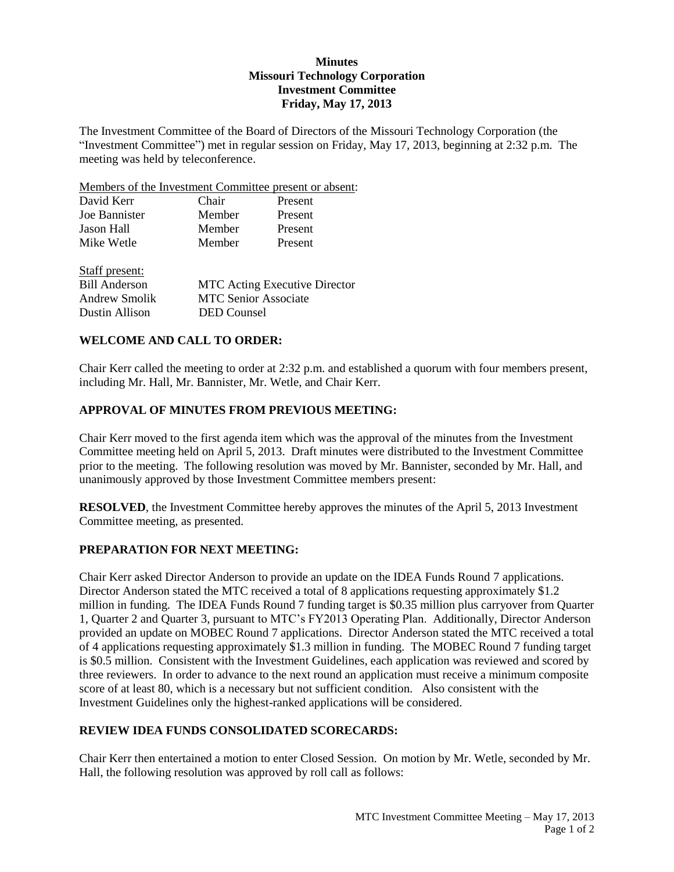# **Minutes Missouri Technology Corporation Investment Committee Friday, May 17, 2013**

The Investment Committee of the Board of Directors of the Missouri Technology Corporation (the "Investment Committee") met in regular session on Friday, May 17, 2013, beginning at 2:32 p.m. The meeting was held by teleconference.

Members of the Investment Committee present or absent:

| David Kerr     | Chair  | Present |  |
|----------------|--------|---------|--|
| Joe Bannister  | Member | Present |  |
| Jason Hall     | Member | Present |  |
| Mike Wetle     | Member | Present |  |
| Staff present: |        |         |  |

| <b>MTC</b> Acting Executive Director |
|--------------------------------------|
| <b>MTC Senior Associate</b>          |
| DED Counsel                          |
|                                      |

## **WELCOME AND CALL TO ORDER:**

Chair Kerr called the meeting to order at 2:32 p.m. and established a quorum with four members present, including Mr. Hall, Mr. Bannister, Mr. Wetle, and Chair Kerr.

# **APPROVAL OF MINUTES FROM PREVIOUS MEETING:**

Chair Kerr moved to the first agenda item which was the approval of the minutes from the Investment Committee meeting held on April 5, 2013. Draft minutes were distributed to the Investment Committee prior to the meeting. The following resolution was moved by Mr. Bannister, seconded by Mr. Hall, and unanimously approved by those Investment Committee members present:

**RESOLVED**, the Investment Committee hereby approves the minutes of the April 5, 2013 Investment Committee meeting, as presented.

## **PREPARATION FOR NEXT MEETING:**

Chair Kerr asked Director Anderson to provide an update on the IDEA Funds Round 7 applications. Director Anderson stated the MTC received a total of 8 applications requesting approximately \$1.2 million in funding. The IDEA Funds Round 7 funding target is \$0.35 million plus carryover from Quarter 1, Quarter 2 and Quarter 3, pursuant to MTC's FY2013 Operating Plan. Additionally, Director Anderson provided an update on MOBEC Round 7 applications. Director Anderson stated the MTC received a total of 4 applications requesting approximately \$1.3 million in funding. The MOBEC Round 7 funding target is \$0.5 million. Consistent with the Investment Guidelines, each application was reviewed and scored by three reviewers. In order to advance to the next round an application must receive a minimum composite score of at least 80, which is a necessary but not sufficient condition. Also consistent with the Investment Guidelines only the highest-ranked applications will be considered.

## **REVIEW IDEA FUNDS CONSOLIDATED SCORECARDS:**

Chair Kerr then entertained a motion to enter Closed Session. On motion by Mr. Wetle, seconded by Mr. Hall, the following resolution was approved by roll call as follows: